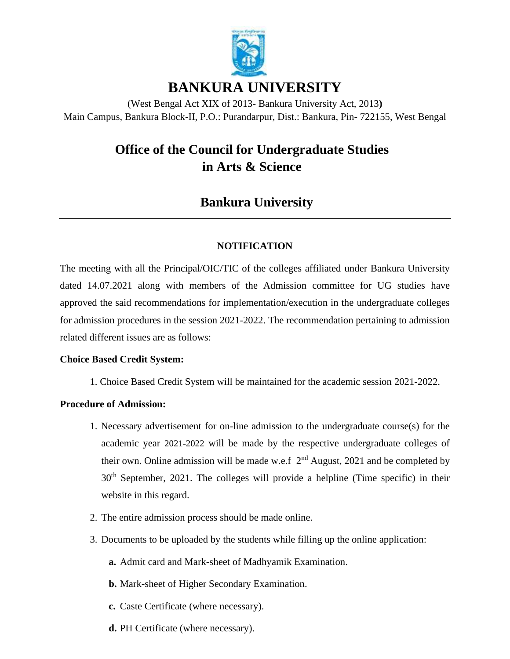

(West Bengal Act XIX of 2013- Bankura University Act, 2013**)** Main Campus, Bankura Block-II, P.O.: Purandarpur, Dist.: Bankura, Pin- 722155, West Bengal

# **Office of the Council for Undergraduate Studies in Arts & Science**

## **Bankura University**

## **NOTIFICATION**

The meeting with all the Principal/OIC/TIC of the colleges affiliated under Bankura University dated 14.07.2021 along with members of the Admission committee for UG studies have approved the said recommendations for implementation/execution in the undergraduate colleges for admission procedures in the session 2021-2022. The recommendation pertaining to admission related different issues are as follows:

## **Choice Based Credit System:**

1. Choice Based Credit System will be maintained for the academic session 2021-2022.

## **Procedure of Admission:**

- 1. Necessary advertisement for on-line admission to the undergraduate course(s) for the academic year 2021-2022 will be made by the respective undergraduate colleges of their own. Online admission will be made w.e.f  $2<sup>nd</sup>$  August, 2021 and be completed by 30th September, 2021. The colleges will provide a helpline (Time specific) in their website in this regard.
- 2. The entire admission process should be made online.
- 3. Documents to be uploaded by the students while filling up the online application:
	- **a.** Admit card and Mark-sheet of Madhyamik Examination.
	- **b.** Mark-sheet of Higher Secondary Examination.
	- **c.** Caste Certificate (where necessary).
	- **d.** PH Certificate (where necessary).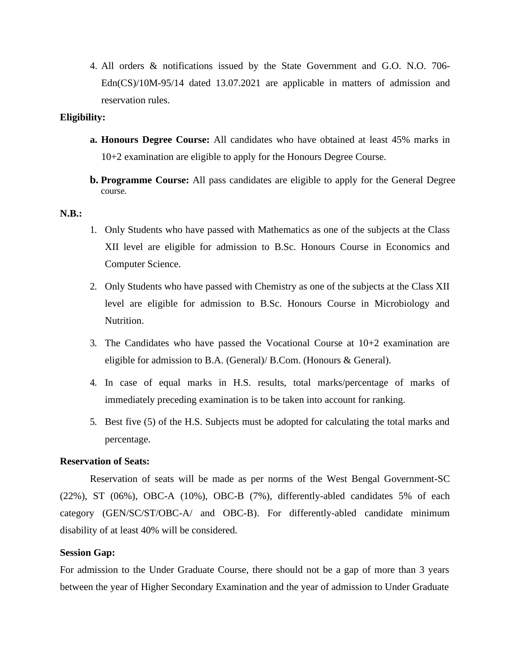4. All orders & notifications issued by the State Government and G.O. N.O. 706- Edn(CS)/10M-95/14 dated 13.07.2021 are applicable in matters of admission and reservation rules.

#### **Eligibility:**

- **a. Honours Degree Course:** All candidates who have obtained at least 45% marks in 10+2 examination are eligible to apply for the Honours Degree Course.
- **b. Programme Course:** All pass candidates are eligible to apply for the General Degree course.

#### **N.B.:**

- 1. Only Students who have passed with Mathematics as one of the subjects at the Class XII level are eligible for admission to B.Sc. Honours Course in Economics and Computer Science.
- 2. Only Students who have passed with Chemistry as one of the subjects at the Class XII level are eligible for admission to B.Sc. Honours Course in Microbiology and Nutrition.
- 3. The Candidates who have passed the Vocational Course at 10+2 examination are eligible for admission to B.A. (General)/ B.Com. (Honours & General).
- 4. In case of equal marks in H.S. results, total marks/percentage of marks of immediately preceding examination is to be taken into account for ranking.
- 5. Best five (5) of the H.S. Subjects must be adopted for calculating the total marks and percentage.

#### **Reservation of Seats:**

Reservation of seats will be made as per norms of the West Bengal Government-SC (22%), ST (06%), OBC-A (10%), OBC-B (7%), differently-abled candidates 5% of each category (GEN/SC/ST/OBC-A/ and OBC-B). For differently-abled candidate minimum disability of at least 40% will be considered.

#### **Session Gap:**

For admission to the Under Graduate Course, there should not be a gap of more than 3 years between the year of Higher Secondary Examination and the year of admission to Under Graduate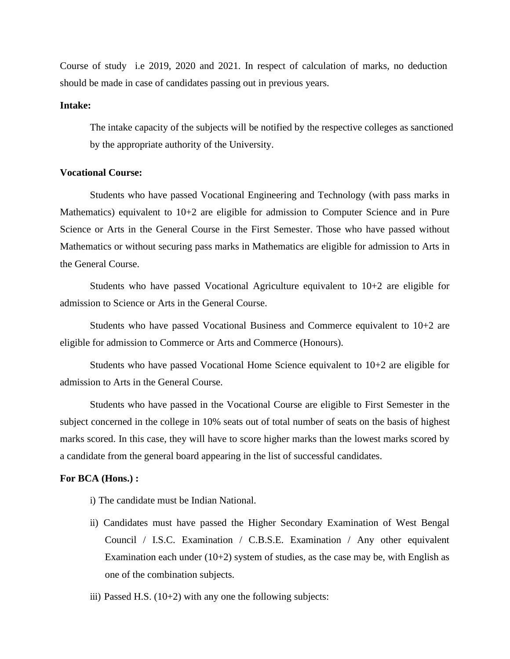Course of study i.e 2019, 2020 and 2021. In respect of calculation of marks, no deduction should be made in case of candidates passing out in previous years.

#### **Intake:**

The intake capacity of the subjects will be notified by the respective colleges as sanctioned by the appropriate authority of the University.

#### **Vocational Course:**

Students who have passed Vocational Engineering and Technology (with pass marks in Mathematics) equivalent to 10+2 are eligible for admission to Computer Science and in Pure Science or Arts in the General Course in the First Semester. Those who have passed without Mathematics or without securing pass marks in Mathematics are eligible for admission to Arts in the General Course.

Students who have passed Vocational Agriculture equivalent to 10+2 are eligible for admission to Science or Arts in the General Course.

Students who have passed Vocational Business and Commerce equivalent to 10+2 are eligible for admission to Commerce or Arts and Commerce (Honours).

Students who have passed Vocational Home Science equivalent to 10+2 are eligible for admission to Arts in the General Course.

Students who have passed in the Vocational Course are eligible to First Semester in the subject concerned in the college in 10% seats out of total number of seats on the basis of highest marks scored. In this case, they will have to score higher marks than the lowest marks scored by a candidate from the general board appearing in the list of successful candidates.

#### **For BCA (Hons.) :**

- i) The candidate must be Indian National.
- ii) Candidates must have passed the Higher Secondary Examination of West Bengal Council / I.S.C. Examination / C.B.S.E. Examination / Any other equivalent Examination each under  $(10+2)$  system of studies, as the case may be, with English as one of the combination subjects.
- iii) Passed H.S.  $(10+2)$  with any one the following subjects: